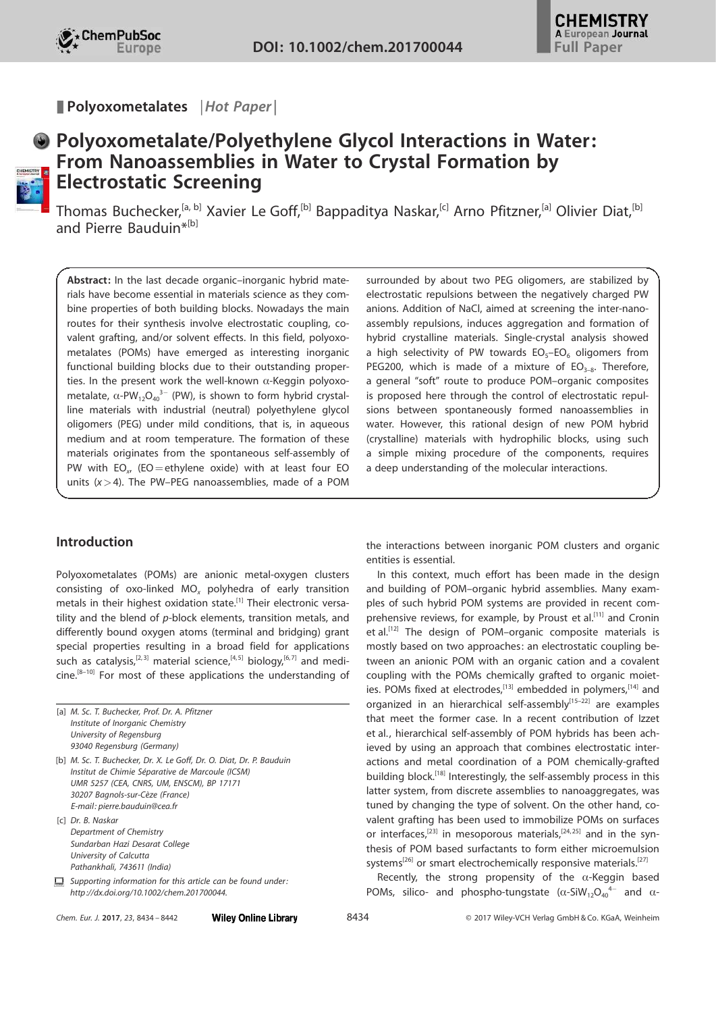Polyoxometalates | Hot Paper |



# Polyoxometalate/Polyethylene Glycol Interactions in Water: From Nanoassemblies in Water to Crystal Formation by Electrostatic Screening

Thomas Buchecker,<sup>[a, b]</sup> Xavier Le Goff,<sup>[b]</sup> Bappaditya Naskar,<sup>[c]</sup> Arno Pfitzner,<sup>[a]</sup> Olivier Diat,<sup>[b]</sup> and Pierre Bauduin\*[b]

Abstract: In the last decade organic–inorganic hybrid materials have become essential in materials science as they combine properties of both building blocks. Nowadays the main routes for their synthesis involve electrostatic coupling, covalent grafting, and/or solvent effects. In this field, polyoxometalates (POMs) have emerged as interesting inorganic functional building blocks due to their outstanding properties. In the present work the well-known  $\alpha$ -Keggin polyoxometalate,  $\alpha$ -PW<sub>12</sub>O<sub>40</sub><sup>3-</sup> (PW), is shown to form hybrid crystalline materials with industrial (neutral) polyethylene glycol oligomers (PEG) under mild conditions, that is, in aqueous medium and at room temperature. The formation of these materials originates from the spontaneous self-assembly of PW with  $EO_{x}$  (EO = ethylene oxide) with at least four EO units  $(x>4)$ . The PW-PEG nanoassemblies, made of a POM

# Introduction

Polyoxometalates (POMs) are anionic metal-oxygen clusters consisting of oxo-linked  $MO<sub>x</sub>$  polyhedra of early transition metals in their highest oxidation state.<sup>[1]</sup> Their electronic versatility and the blend of p-block elements, transition metals, and differently bound oxygen atoms (terminal and bridging) grant special properties resulting in a broad field for applications such as catalysis,<sup>[2,3]</sup> material science,<sup>[4,5]</sup> biology,<sup>[6,7]</sup> and medi $cine$ .<sup>[8–10]</sup> For most of these applications the understanding of

| [a] M. Sc. T. Buchecker, Prof. Dr. A. Pfitzner<br>Institute of Inorganic Chemistry<br>University of Regensburg                                                                                                                            |
|-------------------------------------------------------------------------------------------------------------------------------------------------------------------------------------------------------------------------------------------|
| 93040 Regensburg (Germany)                                                                                                                                                                                                                |
| [b] M. Sc. T. Buchecker, Dr. X. Le Goff, Dr. O. Diat, Dr. P. Bauduin<br>Institut de Chimie Séparative de Marcoule (ICSM)<br>UMR 5257 (CEA, CNRS, UM, ENSCM), BP 17171<br>30207 Bagnols-sur-Cèze (France)<br>E-mail: pierre.bauduin@cea.fr |
| [c] Dr. B. Naskar<br>Department of Chemistry<br>Sundarban Hazi Desarat College<br>University of Calcutta<br>Pathankhali, 743611 (India)                                                                                                   |
| Supporting information for this article can be found under:<br>http://dx.doi.org/10.1002/chem.201700044.                                                                                                                                  |

surrounded by about two PEG oligomers, are stabilized by electrostatic repulsions between the negatively charged PW anions. Addition of NaCl, aimed at screening the inter-nanoassembly repulsions, induces aggregation and formation of hybrid crystalline materials. Single-crystal analysis showed a high selectivity of PW towards  $EO<sub>5</sub>-EO<sub>6</sub>$  oligomers from PEG200, which is made of a mixture of  $EO_{3-8}$ . Therefore, a general "soft" route to produce POM–organic composites is proposed here through the control of electrostatic repulsions between spontaneously formed nanoassemblies in water. However, this rational design of new POM hybrid (crystalline) materials with hydrophilic blocks, using such a simple mixing procedure of the components, requires a deep understanding of the molecular interactions.

the interactions between inorganic POM clusters and organic entities is essential.

In this context, much effort has been made in the design and building of POM–organic hybrid assemblies. Many examples of such hybrid POM systems are provided in recent comprehensive reviews, for example, by Proust et al.<sup>[11]</sup> and Cronin et al.<sup>[12]</sup> The design of POM-organic composite materials is mostly based on two approaches: an electrostatic coupling between an anionic POM with an organic cation and a covalent coupling with the POMs chemically grafted to organic moieties. POMs fixed at electrodes,<sup>[13]</sup> embedded in polymers,<sup>[14]</sup> and organized in an hierarchical self-assembly<sup>[15-22]</sup> are examples that meet the former case. In a recent contribution of Izzet et al., hierarchical self-assembly of POM hybrids has been achieved by using an approach that combines electrostatic interactions and metal coordination of a POM chemically-grafted building block.[18] Interestingly, the self-assembly process in this latter system, from discrete assemblies to nanoaggregates, was tuned by changing the type of solvent. On the other hand, covalent grafting has been used to immobilize POMs on surfaces or interfaces,<sup>[23]</sup> in mesoporous materials,<sup>[24,25]</sup> and in the synthesis of POM based surfactants to form either microemulsion systems<sup>[26]</sup> or smart electrochemically responsive materials.<sup>[27]</sup>

Recently, the strong propensity of the  $\alpha$ -Keggin based POMs, silico- and phospho-tungstate  $(\alpha$ -SiW<sub>12</sub>O<sub>40</sub><sup>4-</sup> and  $\alpha$ -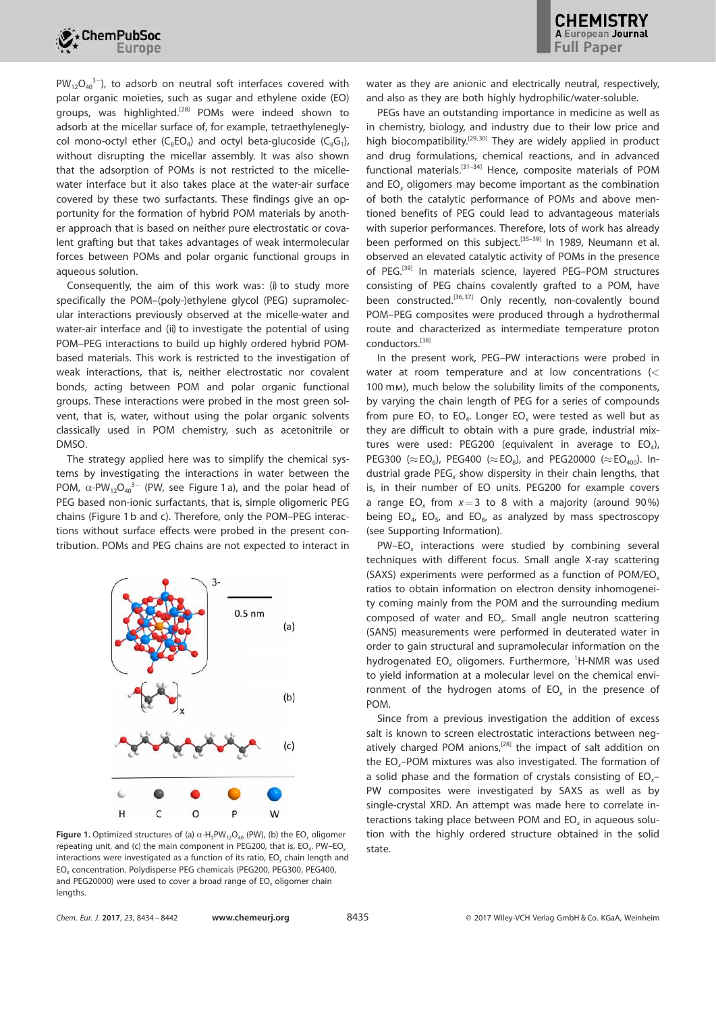

 $PW_{12}O_{40}^{3-}$ ), to adsorb on neutral soft interfaces covered with polar organic moieties, such as sugar and ethylene oxide (EO) groups, was highlighted.<sup>[28]</sup> POMs were indeed shown to adsorb at the micellar surface of, for example, tetraethyleneglycol mono-octyl ether ( $C_8$ EO<sub>4</sub>) and octyl beta-glucoside ( $C_8G_1$ ), without disrupting the micellar assembly. It was also shown that the adsorption of POMs is not restricted to the micellewater interface but it also takes place at the water-air surface covered by these two surfactants. These findings give an opportunity for the formation of hybrid POM materials by another approach that is based on neither pure electrostatic or covalent grafting but that takes advantages of weak intermolecular forces between POMs and polar organic functional groups in aqueous solution.

Consequently, the aim of this work was: (i) to study more specifically the POM–(poly-)ethylene glycol (PEG) supramolecular interactions previously observed at the micelle-water and water-air interface and (ii) to investigate the potential of using POM–PEG interactions to build up highly ordered hybrid POMbased materials. This work is restricted to the investigation of weak interactions, that is, neither electrostatic nor covalent bonds, acting between POM and polar organic functional groups. These interactions were probed in the most green solvent, that is, water, without using the polar organic solvents classically used in POM chemistry, such as acetonitrile or DMSO.

The strategy applied here was to simplify the chemical systems by investigating the interactions in water between the POM,  $\alpha$ -PW<sub>12</sub>O<sub>40</sub><sup>3-</sup> (PW, see Figure 1 a), and the polar head of PEG based non-ionic surfactants, that is, simple oligomeric PEG chains (Figure 1 b and c). Therefore, only the POM–PEG interactions without surface effects were probed in the present contribution. POMs and PEG chains are not expected to interact in



Figure 1. Optimized structures of (a)  $\alpha$ -H<sub>3</sub>PW<sub>12</sub>O<sub>40</sub> (PW), (b) the EO<sub>x</sub> oligomer repeating unit, and (c) the main component in PEG200, that is, EO<sub>4</sub>. PW–EO<sub>x</sub> interactions were investigated as a function of its ratio, EO*<sup>x</sup>* chain length and EO*<sup>x</sup>* concentration. Polydisperse PEG chemicals (PEG200, PEG300, PEG400, and PEG20000) were used to cover a broad range of EO*<sup>x</sup>* oligomer chain lengths.

water as they are anionic and electrically neutral, respectively, and also as they are both highly hydrophilic/water-soluble.

PEGs have an outstanding importance in medicine as well as in chemistry, biology, and industry due to their low price and high biocompatibility.<sup>[29, 30]</sup> They are widely applied in product and drug formulations, chemical reactions, and in advanced functional materials.[31–34] Hence, composite materials of POM and EO*<sup>x</sup>* oligomers may become important as the combination of both the catalytic performance of POMs and above mentioned benefits of PEG could lead to advantageous materials with superior performances. Therefore, lots of work has already been performed on this subject.<sup>[35-39]</sup> In 1989, Neumann et al. observed an elevated catalytic activity of POMs in the presence of PEG.<sup>[39]</sup> In materials science, layered PEG-POM structures consisting of PEG chains covalently grafted to a POM, have been constructed.<sup>[36,37]</sup> Only recently, non-covalently bound POM–PEG composites were produced through a hydrothermal route and characterized as intermediate temperature proton conductors.[38]

In the present work, PEG–PW interactions were probed in water at room temperature and at low concentrations (< 100 mm), much below the solubility limits of the components, by varying the chain length of PEG for a series of compounds from pure  $EO_1$  to  $EO_4$ . Longer  $EO_x$  were tested as well but as they are difficult to obtain with a pure grade, industrial mixtures were used: PEG200 (equivalent in average to  $EO_4$ ), PEG300 ( $\approx$  EO<sub>6</sub>), PEG400 ( $\approx$  EO<sub>8</sub>), and PEG20000 ( $\approx$  EO<sub>400</sub>). Industrial grade PEG*<sup>x</sup>* show dispersity in their chain lengths, that is, in their number of EO units. PEG200 for example covers a range  $EO_x$  from  $x=3$  to 8 with a majority (around 90%) being  $EO_4$ ,  $EO_5$ , and  $EO_6$ , as analyzed by mass spectroscopy (see Supporting Information).

PW–EO*<sup>x</sup>* interactions were studied by combining several techniques with different focus. Small angle X-ray scattering (SAXS) experiments were performed as a function of POM/EO*<sup>x</sup>* ratios to obtain information on electron density inhomogeneity coming mainly from the POM and the surrounding medium composed of water and EO*<sup>x</sup>* . Small angle neutron scattering (SANS) measurements were performed in deuterated water in order to gain structural and supramolecular information on the hydrogenated EO<sub>x</sub> oligomers. Furthermore, <sup>1</sup>H-NMR was used to yield information at a molecular level on the chemical environment of the hydrogen atoms of EO*<sup>x</sup>* in the presence of POM.

Since from a previous investigation the addition of excess salt is known to screen electrostatic interactions between negatively charged POM anions,<sup>[28]</sup> the impact of salt addition on the EO*x*–POM mixtures was also investigated. The formation of a solid phase and the formation of crystals consisting of EO*x*– PW composites were investigated by SAXS as well as by single-crystal XRD. An attempt was made here to correlate interactions taking place between POM and EO*<sup>x</sup>* in aqueous solution with the highly ordered structure obtained in the solid state.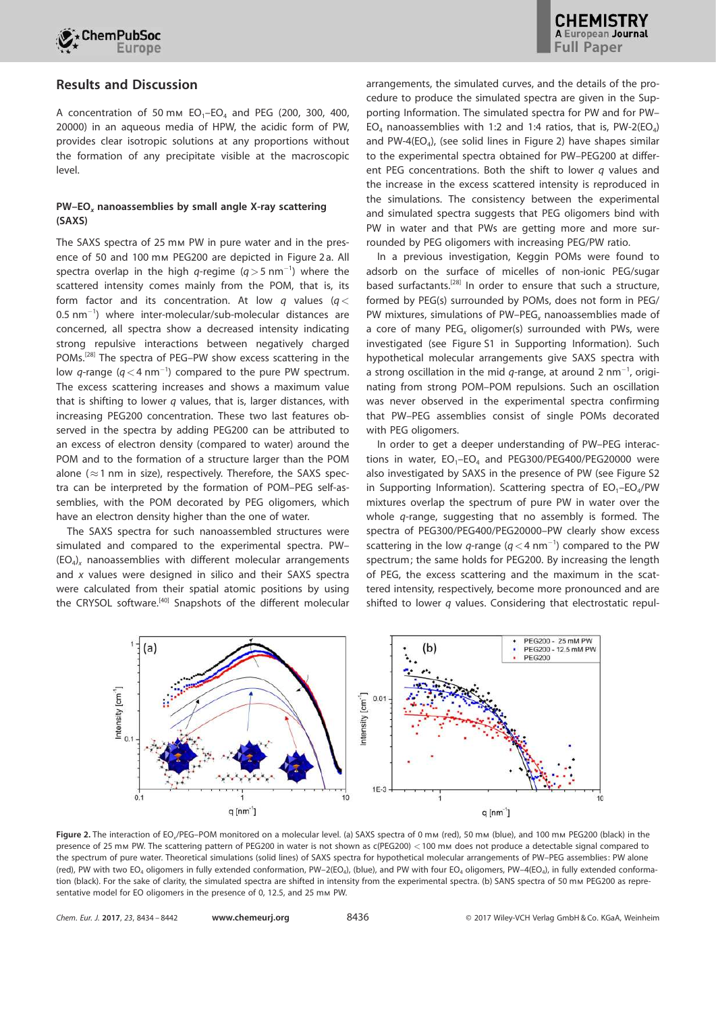

# Results and Discussion

A concentration of 50 mm  $EO_1$ -EO<sub>4</sub> and PEG (200, 300, 400, 20000) in an aqueous media of HPW, the acidic form of PW, provides clear isotropic solutions at any proportions without the formation of any precipitate visible at the macroscopic level.

## PW–EO<sub>x</sub> nanoassemblies by small angle X-ray scattering (SAXS)

The SAXS spectra of 25 mm PW in pure water and in the presence of 50 and 100 mm PEG200 are depicted in Figure 2 a. All spectra overlap in the high  $q$ -regime  $(q>5 \text{ nm}^{-1})$  where the scattered intensity comes mainly from the POM, that is, its form factor and its concentration. At low *q* values (*q*<  $0.5$  nm $^{-1}$ ) where inter-molecular/sub-molecular distances are concerned, all spectra show a decreased intensity indicating strong repulsive interactions between negatively charged POMs.[28] The spectra of PEG–PW show excess scattering in the low  $q$ -range  $(q<4 \text{ nm}^{-1})$  compared to the pure PW spectrum. The excess scattering increases and shows a maximum value that is shifting to lower *q* values, that is, larger distances, with increasing PEG200 concentration. These two last features observed in the spectra by adding PEG200 can be attributed to an excess of electron density (compared to water) around the POM and to the formation of a structure larger than the POM alone ( $\approx$ 1 nm in size), respectively. Therefore, the SAXS spectra can be interpreted by the formation of POM–PEG self-assemblies, with the POM decorated by PEG oligomers, which have an electron density higher than the one of water.

The SAXS spectra for such nanoassembled structures were simulated and compared to the experimental spectra. PW– (EO<sup>4</sup> )*<sup>x</sup>* nanoassemblies with different molecular arrangements and *x* values were designed in silico and their SAXS spectra were calculated from their spatial atomic positions by using the CRYSOL software.<sup>[40]</sup> Snapshots of the different molecular arrangements, the simulated curves, and the details of the procedure to produce the simulated spectra are given in the Supporting Information. The simulated spectra for PW and for PW– EO<sub>4</sub> nanoassemblies with 1:2 and 1:4 ratios, that is, PW-2(EO<sub>4</sub>) and PW-4(EO<sub>4</sub>), (see solid lines in Figure 2) have shapes similar to the experimental spectra obtained for PW–PEG200 at different PEG concentrations. Both the shift to lower *q* values and the increase in the excess scattered intensity is reproduced in the simulations. The consistency between the experimental and simulated spectra suggests that PEG oligomers bind with PW in water and that PWs are getting more and more surrounded by PEG oligomers with increasing PEG/PW ratio.

In a previous investigation, Keggin POMs were found to adsorb on the surface of micelles of non-ionic PEG/sugar based surfactants.[28] In order to ensure that such a structure, formed by PEG(s) surrounded by POMs, does not form in PEG/ PW mixtures, simulations of PW–PEG*<sup>x</sup>* nanoassemblies made of a core of many PEG*<sup>x</sup>* oligomer(s) surrounded with PWs, were investigated (see Figure S1 in Supporting Information). Such hypothetical molecular arrangements give SAXS spectra with a strong oscillation in the mid  $q$ -range, at around 2 nm<sup>-1</sup>, originating from strong POM–POM repulsions. Such an oscillation was never observed in the experimental spectra confirming that PW–PEG assemblies consist of single POMs decorated with PEG oligomers.

In order to get a deeper understanding of PW–PEG interactions in water,  $EO<sub>1</sub> - EO<sub>4</sub>$  and  $PEG300/PEG400/PEG20000$  were also investigated by SAXS in the presence of PW (see Figure S2 in Supporting Information). Scattering spectra of  $EO_{1}-EO_{4}/PW$ mixtures overlap the spectrum of pure PW in water over the whole *q*-range, suggesting that no assembly is formed. The spectra of PEG300/PEG400/PEG20000–PW clearly show excess scattering in the low  $q$ -range ( $q < 4$  nm<sup>-1</sup>) compared to the PW spectrum; the same holds for PEG200. By increasing the length of PEG, the excess scattering and the maximum in the scattered intensity, respectively, become more pronounced and are shifted to lower *q* values. Considering that electrostatic repul-



Figure 2. The interaction of EO<sub>x</sub>/PEG-POM monitored on a molecular level. (a) SAXS spectra of 0 mm (red), 50 mm (blue), and 100 mm PEG200 (black) in the presence of 25 mm PW. The scattering pattern of PEG200 in water is not shown as c(PEG200) <100 mm does not produce a detectable signal compared to the spectrum of pure water. Theoretical simulations (solid lines) of SAXS spectra for hypothetical molecular arrangements of PW–PEG assemblies: PW alone (red), PW with two EO<sub>4</sub> oligomers in fully extended conformation, PW–2(EO<sub>4</sub>), (blue), and PW with four EO<sub>4</sub> oligomers, PW–4(EO<sub>4</sub>), in fully extended conformation (black). For the sake of clarity, the simulated spectra are shifted in intensity from the experimental spectra. (b) SANS spectra of 50 mm PEG200 as representative model for EO oligomers in the presence of 0, 12.5, and 25 mm PW.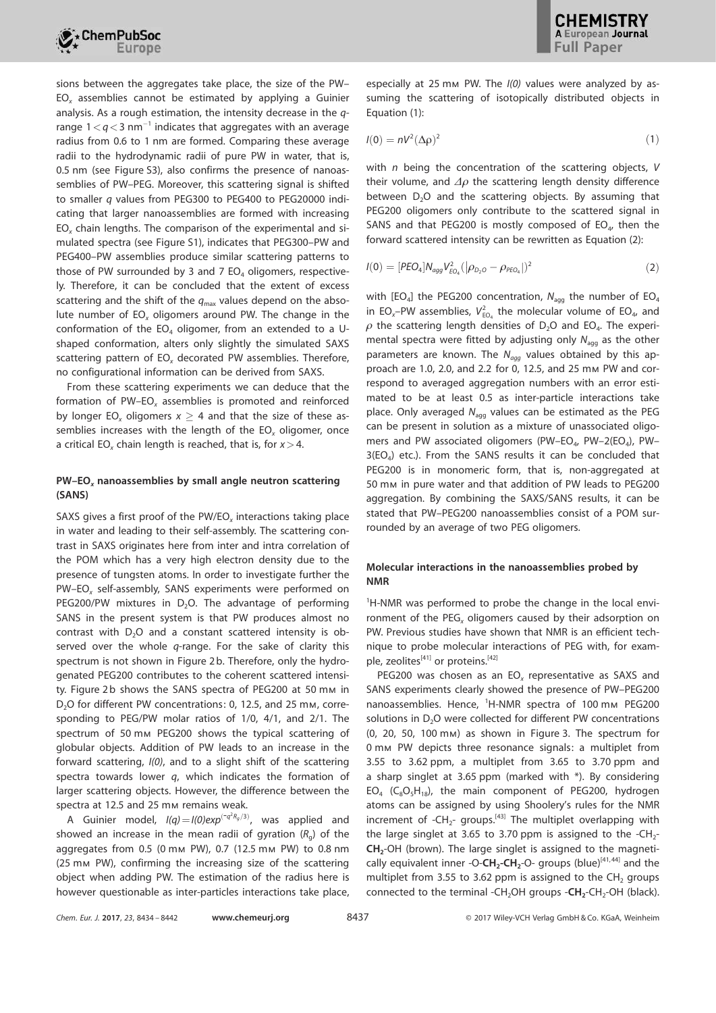

sions between the aggregates take place, the size of the PW– EO*<sup>x</sup>* assemblies cannot be estimated by applying a Guinier analysis. As a rough estimation, the intensity decrease in the *q*range  $1 \lt q \lt 3$  nm<sup>-1</sup> indicates that aggregates with an average radius from 0.6 to 1 nm are formed. Comparing these average radii to the hydrodynamic radii of pure PW in water, that is, 0.5 nm (see Figure S3), also confirms the presence of nanoassemblies of PW–PEG. Moreover, this scattering signal is shifted to smaller *q* values from PEG300 to PEG400 to PEG20000 indicating that larger nanoassemblies are formed with increasing EO*<sup>x</sup>* chain lengths. The comparison of the experimental and simulated spectra (see Figure S1), indicates that PEG300–PW and PEG400–PW assemblies produce similar scattering patterns to those of PW surrounded by 3 and 7  $EO<sub>4</sub>$  oligomers, respectively. Therefore, it can be concluded that the extent of excess scattering and the shift of the  $q_{\text{max}}$  values depend on the absolute number of EO*<sup>x</sup>* oligomers around PW. The change in the conformation of the  $EO<sub>4</sub>$  oligomer, from an extended to a Ushaped conformation, alters only slightly the simulated SAXS scattering pattern of EO*<sup>x</sup>* decorated PW assemblies. Therefore, no configurational information can be derived from SAXS.

From these scattering experiments we can deduce that the formation of PW–EO*<sup>x</sup>* assemblies is promoted and reinforced by longer EO<sub>x</sub> oligomers  $x > 4$  and that the size of these assemblies increases with the length of the EO*<sup>x</sup>* oligomer, once a critical EO*<sup>x</sup>* chain length is reached, that is, for *x*>4.

## PW-EO<sub>x</sub> nanoassemblies by small angle neutron scattering (SANS)

SAXS gives a first proof of the PW/EO*<sup>x</sup>* interactions taking place in water and leading to their self-assembly. The scattering contrast in SAXS originates here from inter and intra correlation of the POM which has a very high electron density due to the presence of tungsten atoms. In order to investigate further the PW–EO*<sup>x</sup>* self-assembly, SANS experiments were performed on PEG200/PW mixtures in  $D_2O$ . The advantage of performing SANS in the present system is that PW produces almost no contrast with  $D_2O$  and a constant scattered intensity is observed over the whole *q*-range. For the sake of clarity this spectrum is not shown in Figure 2 b. Therefore, only the hydrogenated PEG200 contributes to the coherent scattered intensity. Figure 2b shows the SANS spectra of PEG200 at 50 mm in D<sub>2</sub>O for different PW concentrations: 0, 12.5, and 25 mm, corresponding to PEG/PW molar ratios of 1/0, 4/1, and 2/1. The spectrum of 50 mm PEG200 shows the typical scattering of globular objects. Addition of PW leads to an increase in the forward scattering, *I(0)*, and to a slight shift of the scattering spectra towards lower *q*, which indicates the formation of larger scattering objects. However, the difference between the spectra at 12.5 and 25 mm remains weak.

A Guinier model,  $I(q) = I(0) exp^{(-q^2 R_g/3)}$ , was applied and showed an increase in the mean radii of gyration (*R*<sup>g</sup> ) of the aggregates from 0.5 (0 mm PW), 0.7 (12.5 mm PW) to 0.8 nm (25 mm PW), confirming the increasing size of the scattering object when adding PW. The estimation of the radius here is however questionable as inter-particles interactions take place, especially at 25 mm PW. The *I(0)* values were analyzed by assuming the scattering of isotopically distributed objects in Equation (1):

$$
I(0) = nV^2(\Delta \rho)^2 \tag{1}
$$

with *n* being the concentration of the scattering objects, *V* their volume, and  $\Delta\rho$  the scattering length density difference between  $D_2O$  and the scattering objects. By assuming that PEG200 oligomers only contribute to the scattered signal in SANS and that PEG200 is mostly composed of  $EO_4$ , then the forward scattered intensity can be rewritten as Equation (2):

$$
I(0) = [PEO_4]N_{agg}V_{EO_4}^2(|\rho_{D_2O} - \rho_{PEO_4}|)^2
$$
 (2)

with [EO<sub>4</sub>] the PEG200 concentration, N<sub>agg</sub> the number of EO<sub>4</sub> in EO<sub>x</sub>-PW assemblies,  $V_{\text{EO}_4}^2$  the molecular volume of EO<sub>4</sub>, and  $\rho$  the scattering length densities of D $_2$ O and EO $_4$ . The experimental spectra were fitted by adjusting only  $N_{\text{a}q}$  as the other parameters are known. The *Nagg* values obtained by this approach are 1.0, 2.0, and 2.2 for 0, 12.5, and 25 mm PW and correspond to averaged aggregation numbers with an error estimated to be at least 0.5 as inter-particle interactions take place. Only averaged  $N_{agg}$  values can be estimated as the PEG can be present in solution as a mixture of unassociated oligomers and PW associated oligomers (PW-EO<sub>4</sub>, PW-2(EO<sub>4</sub>), PW- $3(EO<sub>4</sub>)$  etc.). From the SANS results it can be concluded that PEG200 is in monomeric form, that is, non-aggregated at 50 mm in pure water and that addition of PW leads to PEG200 aggregation. By combining the SAXS/SANS results, it can be stated that PW–PEG200 nanoassemblies consist of a POM surrounded by an average of two PEG oligomers.

## Molecular interactions in the nanoassemblies probed by NMR

<sup>1</sup>H-NMR was performed to probe the change in the local environment of the PEG*<sup>x</sup>* oligomers caused by their adsorption on PW. Previous studies have shown that NMR is an efficient technique to probe molecular interactions of PEG with, for example, zeolites<sup>[41]</sup> or proteins.<sup>[42]</sup>

PEG200 was chosen as an EO*<sup>x</sup>* representative as SAXS and SANS experiments clearly showed the presence of PW–PEG200 nanoassemblies. Hence, <sup>1</sup>H-NMR spectra of 100 mm PEG200 solutions in D<sub>2</sub>O were collected for different PW concentrations (0, 20, 50, 100 mm) as shown in Figure 3. The spectrum for 0 mm PW depicts three resonance signals: a multiplet from 3.55 to 3.62 ppm, a multiplet from 3.65 to 3.70 ppm and a sharp singlet at 3.65 ppm (marked with \*). By considering  $EO_4$  ( $C_8O_5H_{18}$ ), the main component of PEG200, hydrogen atoms can be assigned by using Shoolery's rules for the NMR increment of  $-CH_{2}$ - groups.<sup>[43]</sup> The multiplet overlapping with the large singlet at 3.65 to 3.70 ppm is assigned to the  $-CH_{2}$ - $CH<sub>2</sub>$ -OH (brown). The large singlet is assigned to the magnetically equivalent inner -O- $CH_2$ - $CH_2$ -O- groups (blue)<sup>[41,44]</sup> and the multiplet from 3.55 to 3.62 ppm is assigned to the  $CH<sub>2</sub>$  groups connected to the terminal -CH<sub>2</sub>OH groups - $CH_2$ -CH<sub>2</sub>-OH (black).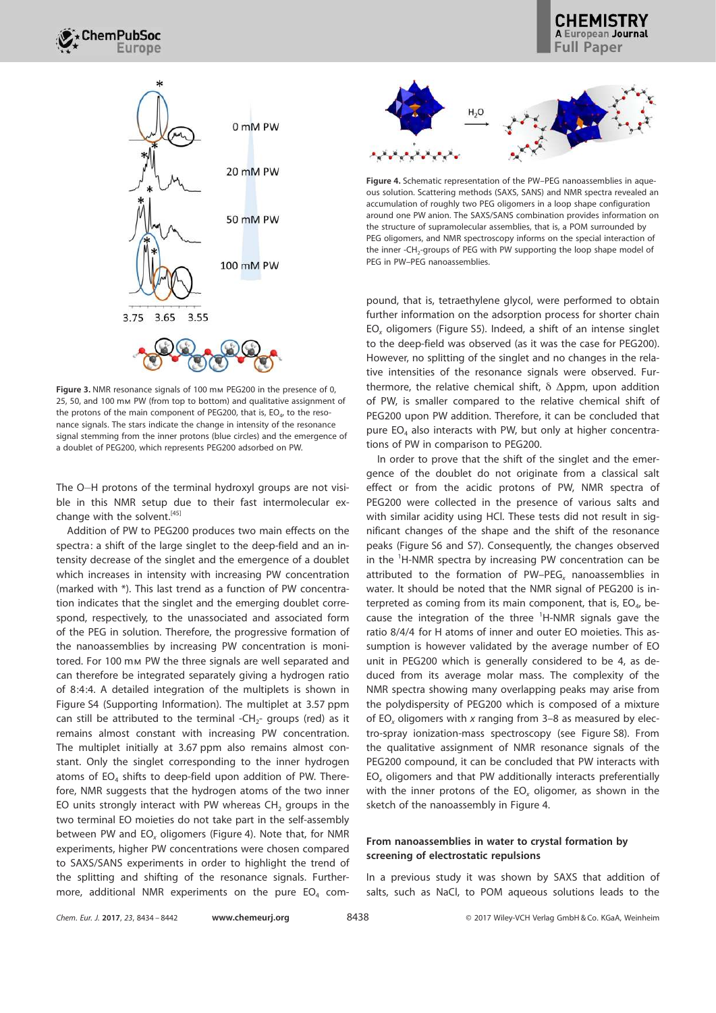

Figure 3. NMR resonance signals of 100 mm PEG200 in the presence of 0, 25, 50, and 100 mm PW (from top to bottom) and qualitative assignment of the protons of the main component of PEG200, that is,  $EO_{4}$ , to the resonance signals. The stars indicate the change in intensity of the resonance signal stemming from the inner protons (blue circles) and the emergence of a doublet of PEG200, which represents PEG200 adsorbed on PW.

The O-H protons of the terminal hydroxyl groups are not visible in this NMR setup due to their fast intermolecular exchange with the solvent.<sup>[45]</sup>

Addition of PW to PEG200 produces two main effects on the spectra: a shift of the large singlet to the deep-field and an intensity decrease of the singlet and the emergence of a doublet which increases in intensity with increasing PW concentration (marked with \*). This last trend as a function of PW concentration indicates that the singlet and the emerging doublet correspond, respectively, to the unassociated and associated form of the PEG in solution. Therefore, the progressive formation of the nanoassemblies by increasing PW concentration is monitored. For 100 mm PW the three signals are well separated and can therefore be integrated separately giving a hydrogen ratio of 8:4:4. A detailed integration of the multiplets is shown in Figure S4 (Supporting Information). The multiplet at 3.57 ppm can still be attributed to the terminal -CH<sub>2</sub>- groups (red) as it remains almost constant with increasing PW concentration. The multiplet initially at 3.67 ppm also remains almost constant. Only the singlet corresponding to the inner hydrogen atoms of  $EO<sub>4</sub>$  shifts to deep-field upon addition of PW. Therefore, NMR suggests that the hydrogen atoms of the two inner EO units strongly interact with PW whereas  $CH<sub>2</sub>$  groups in the two terminal EO moieties do not take part in the self-assembly between PW and EO*<sup>x</sup>* oligomers (Figure 4). Note that, for NMR experiments, higher PW concentrations were chosen compared to SAXS/SANS experiments in order to highlight the trend of the splitting and shifting of the resonance signals. Furthermore, additional NMR experiments on the pure  $EO<sub>4</sub>$  com-



Figure 4. Schematic representation of the PW–PEG nanoassemblies in aqueous solution. Scattering methods (SAXS, SANS) and NMR spectra revealed an accumulation of roughly two PEG oligomers in a loop shape configuration around one PW anion. The SAXS/SANS combination provides information on the structure of supramolecular assemblies, that is, a POM surrounded by PEG oligomers, and NMR spectroscopy informs on the special interaction of the inner -CH<sub>2</sub>-groups of PEG with PW supporting the loop shape model of PEG in PW–PEG nanoassemblies.

pound, that is, tetraethylene glycol, were performed to obtain further information on the adsorption process for shorter chain EO*<sup>x</sup>* oligomers (Figure S5). Indeed, a shift of an intense singlet to the deep-field was observed (as it was the case for PEG200). However, no splitting of the singlet and no changes in the relative intensities of the resonance signals were observed. Furthermore, the relative chemical shift,  $\delta$   $\Delta$ ppm, upon addition of PW, is smaller compared to the relative chemical shift of PEG200 upon PW addition. Therefore, it can be concluded that pure  $EO<sub>4</sub>$  also interacts with PW, but only at higher concentrations of PW in comparison to PEG200.

In order to prove that the shift of the singlet and the emergence of the doublet do not originate from a classical salt effect or from the acidic protons of PW, NMR spectra of PEG200 were collected in the presence of various salts and with similar acidity using HCl. These tests did not result in significant changes of the shape and the shift of the resonance peaks (Figure S6 and S7). Consequently, the changes observed in the <sup>1</sup>H-NMR spectra by increasing PW concentration can be attributed to the formation of PW–PEG*<sup>x</sup>* nanoassemblies in water. It should be noted that the NMR signal of PEG200 is interpreted as coming from its main component, that is,  $EO_4$ , because the integration of the three  $^1$ H-NMR signals gave the ratio 8/4/4 for H atoms of inner and outer EO moieties. This assumption is however validated by the average number of EO unit in PEG200 which is generally considered to be 4, as deduced from its average molar mass. The complexity of the NMR spectra showing many overlapping peaks may arise from the polydispersity of PEG200 which is composed of a mixture of EO*<sup>x</sup>* oligomers with *x* ranging from 3–8 as measured by electro-spray ionization-mass spectroscopy (see Figure S8). From the qualitative assignment of NMR resonance signals of the PEG200 compound, it can be concluded that PW interacts with EO*<sup>x</sup>* oligomers and that PW additionally interacts preferentially with the inner protons of the EO*<sup>x</sup>* oligomer, as shown in the sketch of the nanoassembly in Figure 4.

## From nanoassemblies in water to crystal formation by screening of electrostatic repulsions

In a previous study it was shown by SAXS that addition of salts, such as NaCl, to POM aqueous solutions leads to the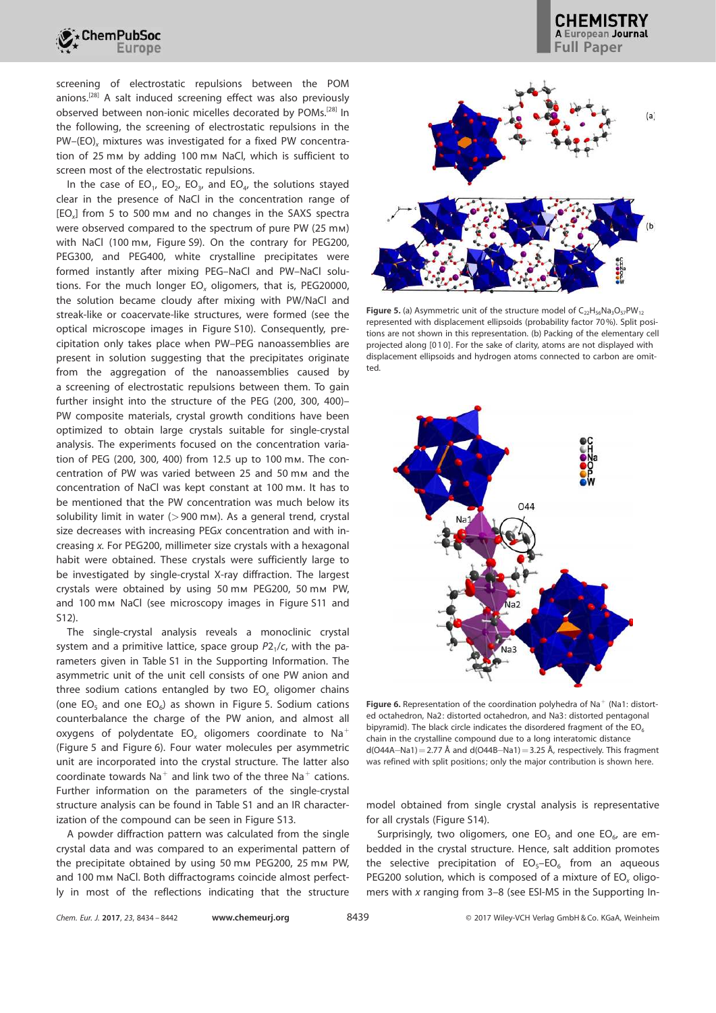

screening of electrostatic repulsions between the POM anions.[28] A salt induced screening effect was also previously observed between non-ionic micelles decorated by POMs.[28] In the following, the screening of electrostatic repulsions in the PW–(EO)<sub>x</sub> mixtures was investigated for a fixed PW concentration of 25 mm by adding 100 mm NaCl, which is sufficient to screen most of the electrostatic repulsions.

In the case of  $EO_1$ ,  $EO_2$ ,  $EO_3$ , and  $EO_4$ , the solutions stayed clear in the presence of NaCl in the concentration range of [EO*<sup>x</sup>* ] from 5 to 500 mm and no changes in the SAXS spectra were observed compared to the spectrum of pure PW (25 mm) with NaCl (100 mm, Figure S9). On the contrary for PEG200, PEG300, and PEG400, white crystalline precipitates were formed instantly after mixing PEG–NaCl and PW–NaCl solutions. For the much longer EO*<sup>x</sup>* oligomers, that is, PEG20000, the solution became cloudy after mixing with PW/NaCl and streak-like or coacervate-like structures, were formed (see the optical microscope images in Figure S10). Consequently, precipitation only takes place when PW–PEG nanoassemblies are present in solution suggesting that the precipitates originate from the aggregation of the nanoassemblies caused by a screening of electrostatic repulsions between them. To gain further insight into the structure of the PEG (200, 300, 400)– PW composite materials, crystal growth conditions have been optimized to obtain large crystals suitable for single-crystal analysis. The experiments focused on the concentration variation of PEG (200, 300, 400) from 12.5 up to 100 mm. The concentration of PW was varied between 25 and 50 mm and the concentration of NaCl was kept constant at 100 mm. It has to be mentioned that the PW concentration was much below its solubility limit in water  $(>900 \text{ mm})$ . As a general trend, crystal size decreases with increasing PEG*x* concentration and with increasing *x.* For PEG200, millimeter size crystals with a hexagonal habit were obtained. These crystals were sufficiently large to be investigated by single-crystal X-ray diffraction. The largest crystals were obtained by using 50 mm PEG200, 50 mm PW, and 100 mm NaCl (see microscopy images in Figure S11 and S12).

The single-crystal analysis reveals a monoclinic crystal system and a primitive lattice, space group  $P2_1/c$ , with the parameters given in Table S1 in the Supporting Information. The asymmetric unit of the unit cell consists of one PW anion and three sodium cations entangled by two EO*<sup>x</sup>* oligomer chains (one  $EO_5$  and one  $EO_6$ ) as shown in Figure 5. Sodium cations counterbalance the charge of the PW anion, and almost all oxygens of polydentate EO*<sup>x</sup>* oligomers coordinate to Na<sup>+</sup> (Figure 5 and Figure 6). Four water molecules per asymmetric unit are incorporated into the crystal structure. The latter also coordinate towards  $\text{Na}^+$  and link two of the three  $\text{Na}^+$  cations. Further information on the parameters of the single-crystal structure analysis can be found in Table S1 and an IR characterization of the compound can be seen in Figure S13.

A powder diffraction pattern was calculated from the single crystal data and was compared to an experimental pattern of the precipitate obtained by using 50 mm PEG200, 25 mm PW, and 100 mm NaCl. Both diffractograms coincide almost perfectly in most of the reflections indicating that the structure



**CHEMISTRY** A European Journal

Figure 5. (a) Asymmetric unit of the structure model of  $C_{22}H_{56}Na_3O_{57}PW_{12}$ represented with displacement ellipsoids (probability factor 70%). Split positions are not shown in this representation. (b) Packing of the elementary cell projected along [01 0]. For the sake of clarity, atoms are not displayed with displacement ellipsoids and hydrogen atoms connected to carbon are omitted.



Figure 6. Representation of the coordination polyhedra of Na<sup>+</sup> (Na1: distorted octahedron, Na2: distorted octahedron, and Na3: distorted pentagonal bipyramid). The black circle indicates the disordered fragment of the  $EO<sub>6</sub>$ chain in the crystalline compound due to a long interatomic distance  $d(0.444 - Na1) = 2.77$  Å and  $d(0.448 - Na1) = 3.25$  Å, respectively. This fragment was refined with split positions; only the major contribution is shown here.

model obtained from single crystal analysis is representative for all crystals (Figure S14).

Surprisingly, two oligomers, one  $EO<sub>5</sub>$  and one  $EO<sub>6</sub>$ , are embedded in the crystal structure. Hence, salt addition promotes the selective precipitation of  $EO<sub>5</sub>-EO<sub>6</sub>$  from an aqueous PEG200 solution, which is composed of a mixture of EO*<sup>x</sup>* oligomers with *x* ranging from 3–8 (see ESI-MS in the Supporting In-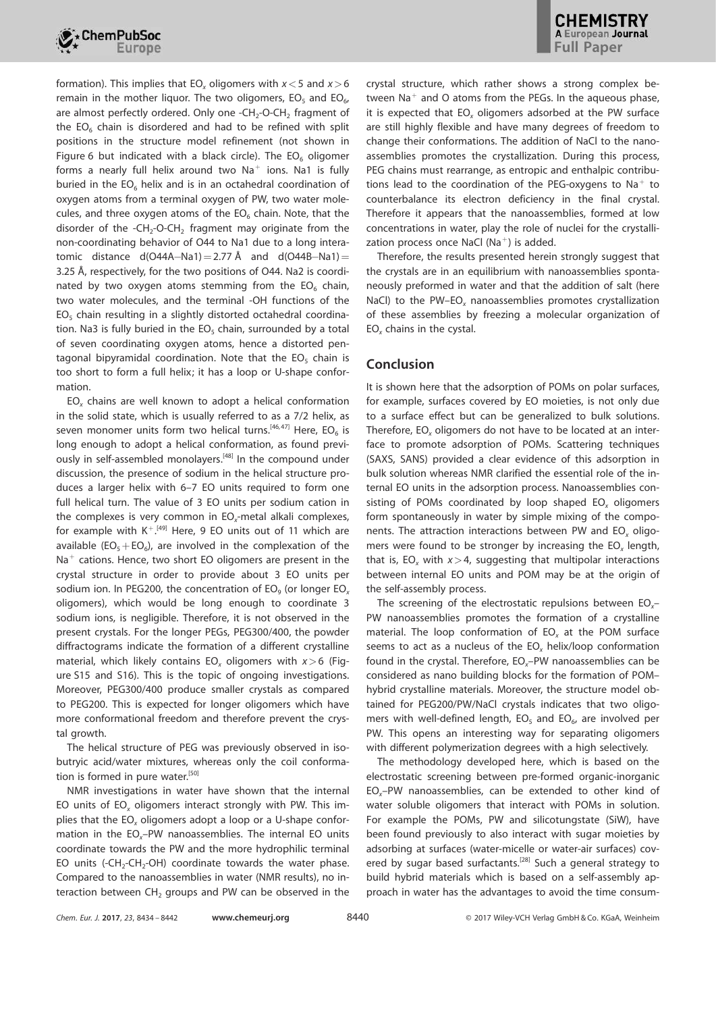

formation). This implies that EO*<sup>x</sup>* oligomers with *x*<5 and *x*>6 remain in the mother liquor. The two oligomers,  $EO_{5}$  and  $EO_{6}$ , are almost perfectly ordered. Only one -CH<sub>2</sub>-O-CH<sub>2</sub> fragment of the  $EO<sub>6</sub>$  chain is disordered and had to be refined with split positions in the structure model refinement (not shown in Figure 6 but indicated with a black circle). The  $EO<sub>6</sub>$  oligomer forms a nearly full helix around two  $\text{Na}^+$  ions. Na1 is fully buried in the  $EO<sub>6</sub>$  helix and is in an octahedral coordination of oxygen atoms from a terminal oxygen of PW, two water molecules, and three oxygen atoms of the  $EO_6$  chain. Note, that the disorder of the -CH<sub>2</sub>-O-CH<sub>2</sub> fragment may originate from the non-coordinating behavior of O44 to Na1 due to a long interatomic distance  $d(O44A-Na1)=2.77 \text{ Å}$  and  $d(O44B-Na1)=$ 3.25 Å, respectively, for the two positions of O44. Na2 is coordinated by two oxygen atoms stemming from the  $EO_6$  chain, two water molecules, and the terminal -OH functions of the  $EO<sub>5</sub>$  chain resulting in a slightly distorted octahedral coordination. Na3 is fully buried in the  $EO<sub>5</sub>$  chain, surrounded by a total of seven coordinating oxygen atoms, hence a distorted pentagonal bipyramidal coordination. Note that the  $EO<sub>5</sub>$  chain is too short to form a full helix; it has a loop or U-shape conformation.

EO*<sup>x</sup>* chains are well known to adopt a helical conformation in the solid state, which is usually referred to as a 7/2 helix, as seven monomer units form two helical turns. $^{[46,47]}$  Here, EO<sub>6</sub> is long enough to adopt a helical conformation, as found previously in self-assembled monolayers.<sup>[48]</sup> In the compound under discussion, the presence of sodium in the helical structure produces a larger helix with 6–7 EO units required to form one full helical turn. The value of 3 EO units per sodium cation in the complexes is very common in EO*<sup>x</sup>* -metal alkali complexes, for example with  $K^{+. [49]}$  Here, 9 EO units out of 11 which are available ( $EO_5+EO_6$ ), are involved in the complexation of the  $Na<sup>+</sup>$  cations. Hence, two short EO oligomers are present in the crystal structure in order to provide about 3 EO units per sodium ion. In PEG200, the concentration of EO<sub>9</sub> (or longer EO<sub>x</sub> oligomers), which would be long enough to coordinate 3 sodium ions, is negligible. Therefore, it is not observed in the present crystals. For the longer PEGs, PEG300/400, the powder diffractograms indicate the formation of a different crystalline material, which likely contains EO*<sup>x</sup>* oligomers with *x*>6 (Figure S15 and S16). This is the topic of ongoing investigations. Moreover, PEG300/400 produce smaller crystals as compared to PEG200. This is expected for longer oligomers which have more conformational freedom and therefore prevent the crystal growth.

The helical structure of PEG was previously observed in isobutryic acid/water mixtures, whereas only the coil conformation is formed in pure water.<sup>[50]</sup>

NMR investigations in water have shown that the internal EO units of EO*<sup>x</sup>* oligomers interact strongly with PW. This implies that the EO*<sup>x</sup>* oligomers adopt a loop or a U-shape conformation in the EO*x*–PW nanoassemblies. The internal EO units coordinate towards the PW and the more hydrophilic terminal EO units (-CH<sub>2</sub>-CH<sub>2</sub>-OH) coordinate towards the water phase. Compared to the nanoassemblies in water (NMR results), no interaction between  $CH<sub>2</sub>$  groups and PW can be observed in the crystal structure, which rather shows a strong complex between  $\text{Na}^+$  and O atoms from the PEGs. In the aqueous phase, it is expected that EO*<sup>x</sup>* oligomers adsorbed at the PW surface are still highly flexible and have many degrees of freedom to change their conformations. The addition of NaCl to the nanoassemblies promotes the crystallization. During this process, PEG chains must rearrange, as entropic and enthalpic contributions lead to the coordination of the PEG-oxygens to  $\text{Na}^+$  to counterbalance its electron deficiency in the final crystal. Therefore it appears that the nanoassemblies, formed at low concentrations in water, play the role of nuclei for the crystallization process once NaCl  $(Na<sup>+</sup>)$  is added.

Therefore, the results presented herein strongly suggest that the crystals are in an equilibrium with nanoassemblies spontaneously preformed in water and that the addition of salt (here NaCl) to the PW–EO*<sup>x</sup>* nanoassemblies promotes crystallization of these assemblies by freezing a molecular organization of EO*<sup>x</sup>* chains in the cystal.

# Conclusion

It is shown here that the adsorption of POMs on polar surfaces, for example, surfaces covered by EO moieties, is not only due to a surface effect but can be generalized to bulk solutions. Therefore, EO*<sup>x</sup>* oligomers do not have to be located at an interface to promote adsorption of POMs. Scattering techniques (SAXS, SANS) provided a clear evidence of this adsorption in bulk solution whereas NMR clarified the essential role of the internal EO units in the adsorption process. Nanoassemblies consisting of POMs coordinated by loop shaped EO*<sup>x</sup>* oligomers form spontaneously in water by simple mixing of the components. The attraction interactions between PW and EO*<sup>x</sup>* oligomers were found to be stronger by increasing the EO*<sup>x</sup>* length, that is,  $EO_x$  with  $x > 4$ , suggesting that multipolar interactions between internal EO units and POM may be at the origin of the self-assembly process.

The screening of the electrostatic repulsions between EO*x*– PW nanoassemblies promotes the formation of a crystalline material. The loop conformation of EO*<sup>x</sup>* at the POM surface seems to act as a nucleus of the EO*<sup>x</sup>* helix/loop conformation found in the crystal. Therefore, EO*x*–PW nanoassemblies can be considered as nano building blocks for the formation of POM– hybrid crystalline materials. Moreover, the structure model obtained for PEG200/PW/NaCl crystals indicates that two oligomers with well-defined length,  $EO<sub>5</sub>$  and  $EO<sub>6</sub>$ , are involved per PW. This opens an interesting way for separating oligomers with different polymerization degrees with a high selectively.

The methodology developed here, which is based on the electrostatic screening between pre-formed organic-inorganic EO*x*–PW nanoassemblies, can be extended to other kind of water soluble oligomers that interact with POMs in solution. For example the POMs, PW and silicotungstate (SiW), have been found previously to also interact with sugar moieties by adsorbing at surfaces (water-micelle or water-air surfaces) covered by sugar based surfactants.<sup>[28]</sup> Such a general strategy to build hybrid materials which is based on a self-assembly approach in water has the advantages to avoid the time consum-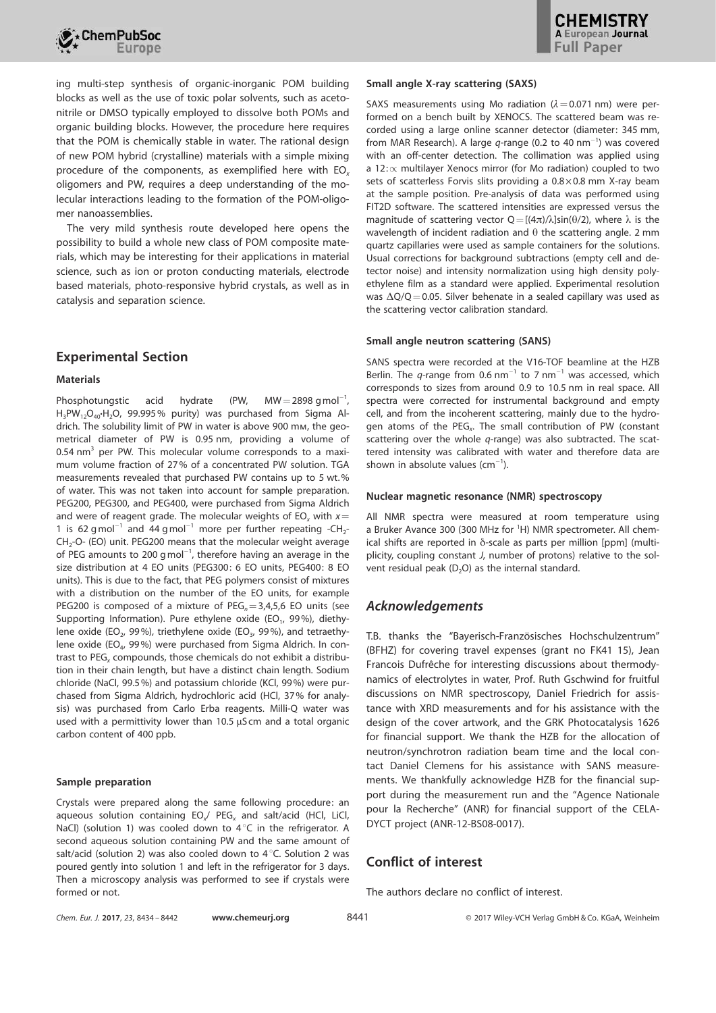

ing multi-step synthesis of organic-inorganic POM building blocks as well as the use of toxic polar solvents, such as acetonitrile or DMSO typically employed to dissolve both POMs and organic building blocks. However, the procedure here requires that the POM is chemically stable in water. The rational design of new POM hybrid (crystalline) materials with a simple mixing procedure of the components, as exemplified here with EO*<sup>x</sup>* oligomers and PW, requires a deep understanding of the molecular interactions leading to the formation of the POM-oligomer nanoassemblies.

The very mild synthesis route developed here opens the possibility to build a whole new class of POM composite materials, which may be interesting for their applications in material science, such as ion or proton conducting materials, electrode based materials, photo-responsive hybrid crystals, as well as in catalysis and separation science.

# Experimental Section

#### **Materials**

Phosphotungstic acid hydrate (PW,  $MW = 2898$  gmol<sup>-1</sup>,  $H_3PW_{12}O_{40}H_2O$ , 99.995% purity) was purchased from Sigma Aldrich. The solubility limit of PW in water is above 900 mm, the geometrical diameter of PW is 0.95 nm, providing a volume of 0.54 nm<sup>3</sup> per PW. This molecular volume corresponds to a maximum volume fraction of 27% of a concentrated PW solution. TGA measurements revealed that purchased PW contains up to 5 wt.% of water. This was not taken into account for sample preparation. PEG200, PEG300, and PEG400, were purchased from Sigma Aldrich and were of reagent grade. The molecular weights of  $EO_x$  with  $x=$ 1 is 62 gmol<sup>-1</sup> and 44 gmol<sup>-1</sup> more per further repeating -CH<sub>2</sub>-CH<sub>2</sub>-O- (EO) unit. PEG200 means that the molecular weight average of PEG amounts to 200 g mol<sup>-1</sup>, therefore having an average in the size distribution at 4 EO units (PEG300: 6 EO units, PEG400: 8 EO units). This is due to the fact, that PEG polymers consist of mixtures with a distribution on the number of the EO units, for example PEG200 is composed of a mixture of PEG<sub>n</sub>=3,4,5,6 EO units (see Supporting Information). Pure ethylene oxide (EO<sub>1</sub>, 99%), diethylene oxide (EO<sub>2</sub>, 99%), triethylene oxide (EO<sub>3</sub>, 99%), and tetraethylene oxide (EO<sub>4</sub>, 99%) were purchased from Sigma Aldrich. In contrast to PEG*<sup>x</sup>* compounds, those chemicals do not exhibit a distribution in their chain length, but have a distinct chain length. Sodium chloride (NaCl, 99.5%) and potassium chloride (KCl, 99%) were purchased from Sigma Aldrich, hydrochloric acid (HCl, 37% for analysis) was purchased from Carlo Erba reagents. Milli-Q water was used with a permittivity lower than 10.5  $\mu$ S cm and a total organic carbon content of 400 ppb.

#### Sample preparation

Crystals were prepared along the same following procedure: an aqueous solution containing EO*<sup>x</sup>* / PEG*<sup>x</sup>* and salt/acid (HCl, LiCl, NaCl) (solution 1) was cooled down to  $4^{\circ}$ C in the refrigerator. A second aqueous solution containing PW and the same amount of salt/acid (solution 2) was also cooled down to  $4^{\circ}$ C. Solution 2 was poured gently into solution 1 and left in the refrigerator for 3 days. Then a microscopy analysis was performed to see if crystals were formed or not.

#### Small angle X-ray scattering (SAXS)

SAXS measurements using Mo radiation ( $\lambda$  = 0.071 nm) were performed on a bench built by XENOCS. The scattered beam was recorded using a large online scanner detector (diameter: 345 mm, from MAR Research). A large q-range (0.2 to 40 nm<sup>-1</sup>) was covered with an off-center detection. The collimation was applied using a 12: $\propto$  multilayer Xenocs mirror (for Mo radiation) coupled to two sets of scatterless Forvis slits providing a  $0.8\times0.8$  mm X-ray beam at the sample position. Pre-analysis of data was performed using FIT2D software. The scattered intensities are expressed versus the magnitude of scattering vector  $Q = [(4\pi)/\lambda]sin(\theta/2)$ , where  $\lambda$  is the wavelength of incident radiation and  $\theta$  the scattering angle. 2 mm quartz capillaries were used as sample containers for the solutions. Usual corrections for background subtractions (empty cell and detector noise) and intensity normalization using high density polyethylene film as a standard were applied. Experimental resolution was  $\Delta Q/Q = 0.05$ . Silver behenate in a sealed capillary was used as the scattering vector calibration standard.

#### Small angle neutron scattering (SANS)

SANS spectra were recorded at the V16-TOF beamline at the HZB Berlin. The  $q$ -range from 0.6 nm<sup>-1</sup> to 7 nm<sup>-1</sup> was accessed, which corresponds to sizes from around 0.9 to 10.5 nm in real space. All spectra were corrected for instrumental background and empty cell, and from the incoherent scattering, mainly due to the hydrogen atoms of the PEG*<sup>x</sup>* . The small contribution of PW (constant scattering over the whole *q*-range) was also subtracted. The scattered intensity was calibrated with water and therefore data are shown in absolute values ( $cm^{-1}$ ).

#### Nuclear magnetic resonance (NMR) spectroscopy

All NMR spectra were measured at room temperature using a Bruker Avance 300 (300 MHz for <sup>1</sup>H) NMR spectrometer. All chemical shifts are reported in  $\delta$ -scale as parts per million [ppm] (multiplicity, coupling constant *J*, number of protons) relative to the solvent residual peak  $(D_2O)$  as the internal standard.

# Acknowledgements

T.B. thanks the "Bayerisch-Französisches Hochschulzentrum" (BFHZ) for covering travel expenses (grant no FK41 15), Jean Francois Dufrêche for interesting discussions about thermodynamics of electrolytes in water, Prof. Ruth Gschwind for fruitful discussions on NMR spectroscopy, Daniel Friedrich for assistance with XRD measurements and for his assistance with the design of the cover artwork, and the GRK Photocatalysis 1626 for financial support. We thank the HZB for the allocation of neutron/synchrotron radiation beam time and the local contact Daniel Clemens for his assistance with SANS measurements. We thankfully acknowledge HZB for the financial support during the measurement run and the "Agence Nationale pour la Recherche" (ANR) for financial support of the CELA-DYCT project (ANR-12-BS08-0017).

# Conflict of interest

The authors declare no conflict of interest.